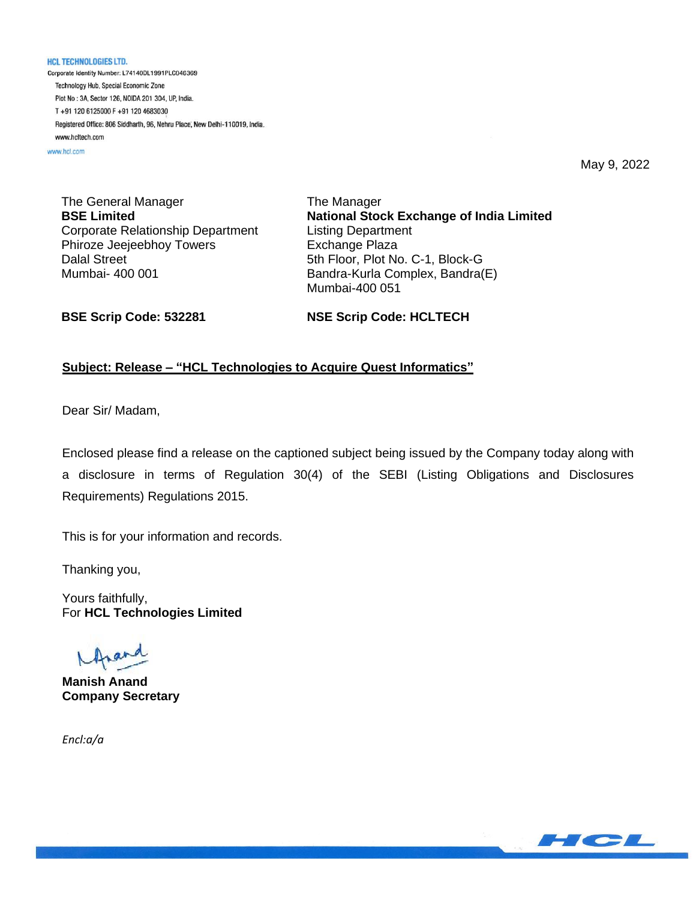**HCL TECHNOLOGIES LTD.** Corporate Identity Number: L74140DL1991PLC046369 Technology Hub, Special Economic Zone Plot No: 3A, Sector 126, NOIDA 201 304, UP, India. T+91 120 6125000 F+91 120 4683030 Registered Office: 806 Siddharth, 96, Nehru Place, New Delhi-110019, India. www.hcltech.com

www.hcl.com

May 9, 2022

The General Manager **BSE Limited** Corporate Relationship Department Phiroze Jeejeebhoy Towers Dalal Street Mumbai- 400 001

The Manager **National Stock Exchange of India Limited** Listing Department Exchange Plaza 5th Floor, Plot No. C-1, Block-G Bandra-Kurla Complex, Bandra(E) Mumbai-400 051

**BSE Scrip Code: 532281**

**NSE Scrip Code: HCLTECH**

## **Subject: Release – "HCL Technologies to Acquire Quest Informatics"**

Dear Sir/ Madam,

Enclosed please find a release on the captioned subject being issued by the Company today along with a disclosure in terms of Regulation 30(4) of the SEBI (Listing Obligations and Disclosures Requirements) Regulations 2015.

This is for your information and records.

Thanking you,

Yours faithfully, For **HCL Technologies Limited**

**Manish Anand Company Secretary**

*Encl:a/a*

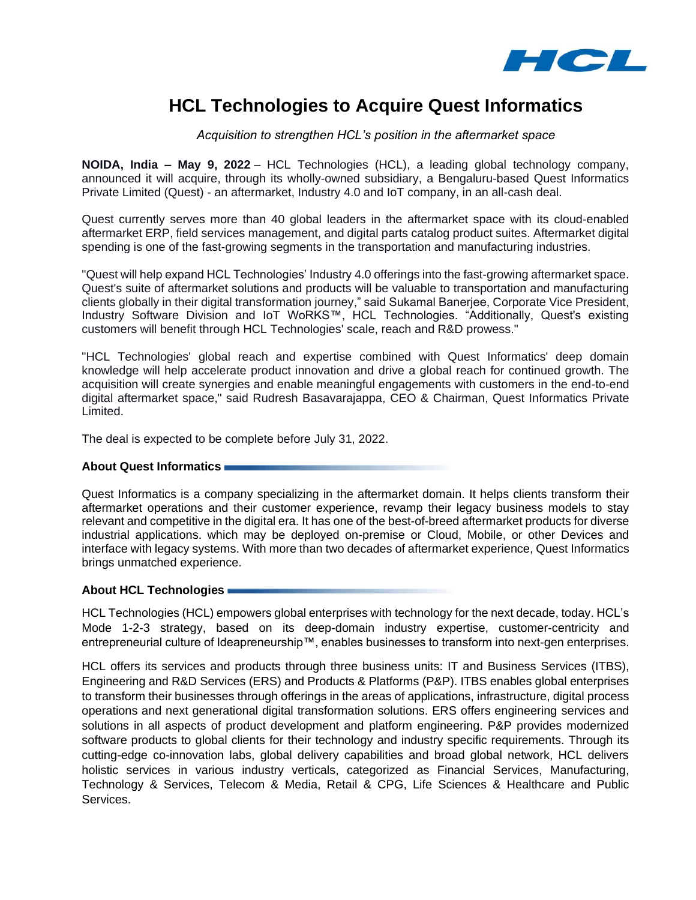

# **HCL Technologies to Acquire Quest Informatics**

*Acquisition to strengthen HCL's position in the aftermarket space*

**NOIDA, India – May 9, 2022** – HCL Technologies (HCL), a leading global technology company, announced it will acquire, through its wholly-owned subsidiary, a Bengaluru-based Quest Informatics Private Limited (Quest) - an aftermarket, Industry 4.0 and IoT company, in an all-cash deal.

Quest currently serves more than 40 global leaders in the aftermarket space with its cloud-enabled aftermarket ERP, field services management, and digital parts catalog product suites. Aftermarket digital spending is one of the fast-growing segments in the transportation and manufacturing industries.

"Quest will help expand HCL Technologies' Industry 4.0 offerings into the fast-growing aftermarket space. Quest's suite of aftermarket solutions and products will be valuable to transportation and manufacturing clients globally in their digital transformation journey," said Sukamal Banerjee, Corporate Vice President, Industry Software Division and IoT WoRKS™, HCL Technologies. "Additionally, Quest's existing customers will benefit through HCL Technologies' scale, reach and R&D prowess."

"HCL Technologies' global reach and expertise combined with Quest Informatics' deep domain knowledge will help accelerate product innovation and drive a global reach for continued growth. The acquisition will create synergies and enable meaningful engagements with customers in the end-to-end digital aftermarket space," said Rudresh Basavarajappa, CEO & Chairman, Quest Informatics Private Limited.

The deal is expected to be complete before July 31, 2022.

## **About Quest Informatics**

Quest Informatics is a company specializing in the aftermarket domain. It helps clients transform their aftermarket operations and their customer experience, revamp their legacy business models to stay relevant and competitive in the digital era. It has one of the best-of-breed aftermarket products for diverse industrial applications. which may be deployed on-premise or Cloud, Mobile, or other Devices and interface with legacy systems. With more than two decades of aftermarket experience, Quest Informatics brings unmatched experience.

## **About HCL Technologies**

HCL Technologies (HCL) empowers global enterprises with technology for the next decade, today. HCL's Mode 1-2-3 strategy, based on its deep-domain industry expertise, customer-centricity and entrepreneurial culture of Ideapreneurship™, enables businesses to transform into next-gen enterprises.

HCL offers its services and products through three business units: IT and Business Services (ITBS), Engineering and R&D Services (ERS) and Products & Platforms (P&P). ITBS enables global enterprises to transform their businesses through offerings in the areas of applications, infrastructure, digital process operations and next generational digital transformation solutions. ERS offers engineering services and solutions in all aspects of product development and platform engineering. P&P provides modernized software products to global clients for their technology and industry specific requirements. Through its cutting-edge co-innovation labs, global delivery capabilities and broad global network, HCL delivers holistic services in various industry verticals, categorized as Financial Services, Manufacturing, Technology & Services, Telecom & Media, Retail & CPG, Life Sciences & Healthcare and Public Services.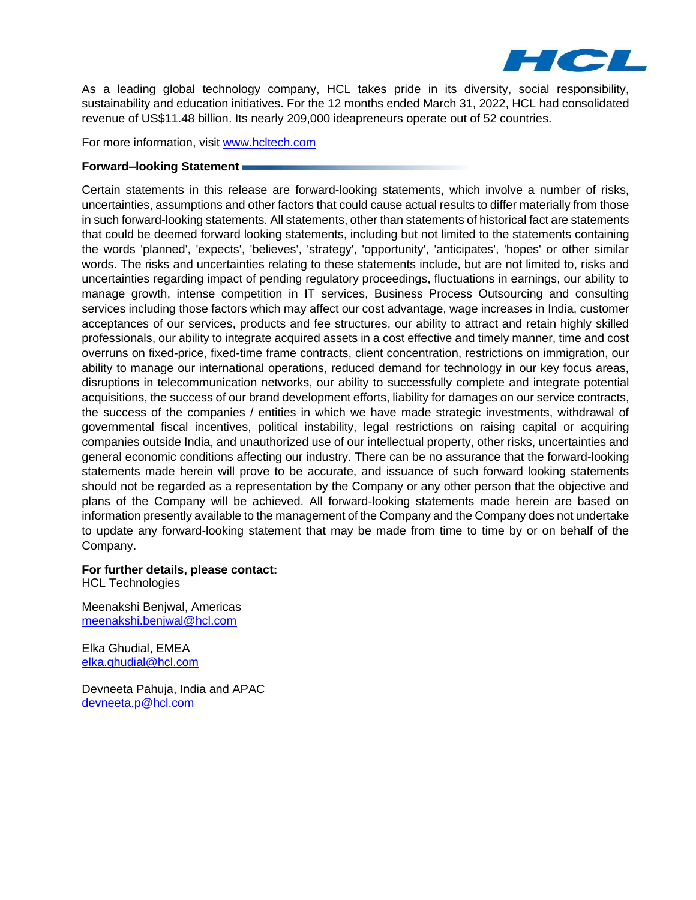

As a leading global technology company, HCL takes pride in its diversity, social responsibility, sustainability and education initiatives. For the 12 months ended March 31, 2022, HCL had consolidated revenue of US\$11.48 billion. Its nearly 209,000 ideapreneurs operate out of 52 countries.

For more information, visit [www.hcltech.com](http://www.hcltech.com/)

#### **Forward–looking Statement**

Certain statements in this release are forward-looking statements, which involve a number of risks, uncertainties, assumptions and other factors that could cause actual results to differ materially from those in such forward-looking statements. All statements, other than statements of historical fact are statements that could be deemed forward looking statements, including but not limited to the statements containing the words 'planned', 'expects', 'believes', 'strategy', 'opportunity', 'anticipates', 'hopes' or other similar words. The risks and uncertainties relating to these statements include, but are not limited to, risks and uncertainties regarding impact of pending regulatory proceedings, fluctuations in earnings, our ability to manage growth, intense competition in IT services, Business Process Outsourcing and consulting services including those factors which may affect our cost advantage, wage increases in India, customer acceptances of our services, products and fee structures, our ability to attract and retain highly skilled professionals, our ability to integrate acquired assets in a cost effective and timely manner, time and cost overruns on fixed-price, fixed-time frame contracts, client concentration, restrictions on immigration, our ability to manage our international operations, reduced demand for technology in our key focus areas, disruptions in telecommunication networks, our ability to successfully complete and integrate potential acquisitions, the success of our brand development efforts, liability for damages on our service contracts, the success of the companies / entities in which we have made strategic investments, withdrawal of governmental fiscal incentives, political instability, legal restrictions on raising capital or acquiring companies outside India, and unauthorized use of our intellectual property, other risks, uncertainties and general economic conditions affecting our industry. There can be no assurance that the forward-looking statements made herein will prove to be accurate, and issuance of such forward looking statements should not be regarded as a representation by the Company or any other person that the objective and plans of the Company will be achieved. All forward-looking statements made herein are based on information presently available to the management of the Company and the Company does not undertake to update any forward-looking statement that may be made from time to time by or on behalf of the Company.

#### **For further details, please contact:** HCL Technologies

Meenakshi Benjwal, Americas [meenakshi.benjwal@hcl.com](mailto:meenakshi.benjwal@hcl.com) 

Elka Ghudial, EMEA [elka.ghudial@hcl.com](mailto:elka.ghudial@hcl.com)

Devneeta Pahuja, India and APAC [devneeta.p@hcl.com](mailto:devneeta.p@hcl.com)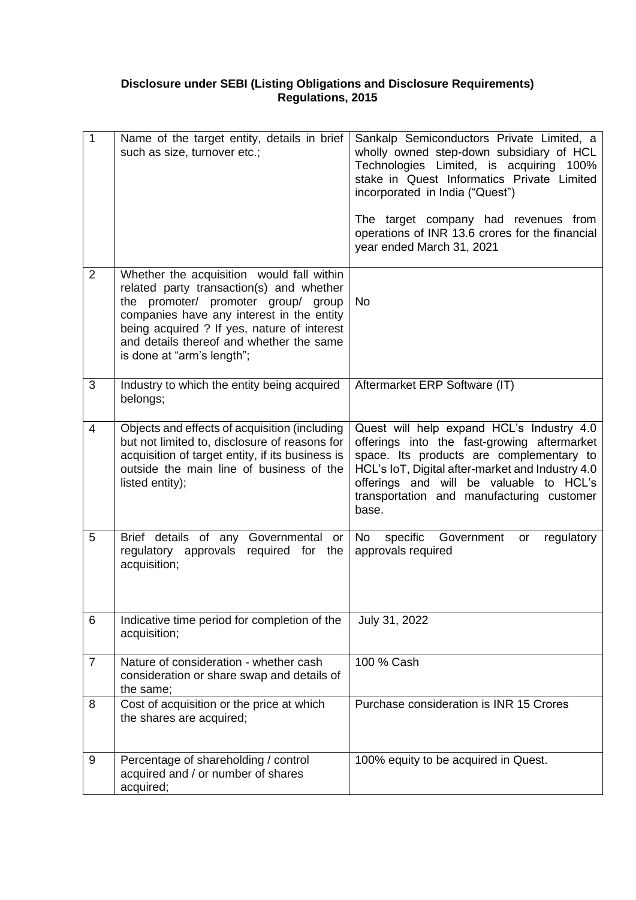# **Disclosure under SEBI (Listing Obligations and Disclosure Requirements) Regulations, 2015**

| $\mathbf{1}$   | Name of the target entity, details in brief<br>such as size, turnover etc.;                                                                                                                                                                                                                        | Sankalp Semiconductors Private Limited, a<br>wholly owned step-down subsidiary of HCL<br>Technologies Limited, is acquiring 100%<br>stake in Quest Informatics Private Limited<br>incorporated in India ("Quest")<br>The target company had revenues from<br>operations of INR 13.6 crores for the financial<br>year ended March 31, 2021 |
|----------------|----------------------------------------------------------------------------------------------------------------------------------------------------------------------------------------------------------------------------------------------------------------------------------------------------|-------------------------------------------------------------------------------------------------------------------------------------------------------------------------------------------------------------------------------------------------------------------------------------------------------------------------------------------|
| $\overline{2}$ | Whether the acquisition would fall within<br>related party transaction(s) and whether<br>the promoter/ promoter group/ group<br>companies have any interest in the entity<br>being acquired ? If yes, nature of interest<br>and details thereof and whether the same<br>is done at "arm's length"; | <b>No</b>                                                                                                                                                                                                                                                                                                                                 |
| 3              | Industry to which the entity being acquired<br>belongs;                                                                                                                                                                                                                                            | Aftermarket ERP Software (IT)                                                                                                                                                                                                                                                                                                             |
| $\overline{4}$ | Objects and effects of acquisition (including<br>but not limited to, disclosure of reasons for<br>acquisition of target entity, if its business is<br>outside the main line of business of the<br>listed entity);                                                                                  | Quest will help expand HCL's Industry 4.0<br>offerings into the fast-growing aftermarket<br>space. Its products are complementary to<br>HCL's IoT, Digital after-market and Industry 4.0<br>offerings and will be valuable to HCL's<br>transportation and manufacturing customer<br>base.                                                 |
| 5              | Brief details of any Governmental or<br>required for the<br>regulatory approvals<br>acquisition;                                                                                                                                                                                                   | specific Government<br>No l<br>regulatory<br>or<br>approvals required                                                                                                                                                                                                                                                                     |
| 6              | Indicative time period for completion of the<br>acquisition;                                                                                                                                                                                                                                       | July 31, 2022                                                                                                                                                                                                                                                                                                                             |
| $\overline{7}$ | Nature of consideration - whether cash<br>consideration or share swap and details of<br>the same;                                                                                                                                                                                                  | 100 % Cash                                                                                                                                                                                                                                                                                                                                |
| 8              | Cost of acquisition or the price at which<br>the shares are acquired;                                                                                                                                                                                                                              | Purchase consideration is INR 15 Crores                                                                                                                                                                                                                                                                                                   |
| 9              | Percentage of shareholding / control<br>acquired and / or number of shares<br>acquired;                                                                                                                                                                                                            | 100% equity to be acquired in Quest.                                                                                                                                                                                                                                                                                                      |